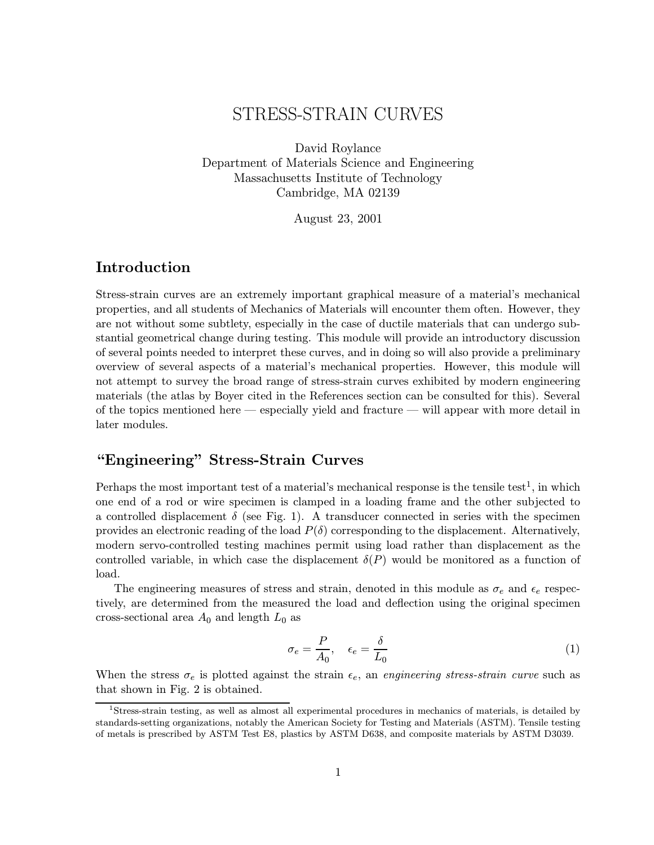# STRESS-STRAIN CURVES

David Roylance Department of Materials Science and Engineering Massachusetts Institute of Technology Cambridge, MA 02139

August 23, 2001

## Introduction

Stress-strain curves are an extremely important graphical measure of a material's mechanical properties, and all students of Mechanics of Materials will encounter them often. However, they are not without some subtlety, especially in the case of ductile materials that can undergo substantial geometrical change during testing. This module will provide an introductory discussion of several points needed to interpret these curves, and in doing so will also provide a preliminary overview of several aspects of a material's mechanical properties. However, this module will not attempt to survey the broad range of stress-strain curves exhibited by modern engineering materials (the atlas by Boyer cited in the References section can be consulted for this). Several of the topics mentioned here — especially yield and fracture — will appear with more detail in later modules.

## "Engineering" Stress-Strain Curves

Perhaps the most important test of a material's mechanical response is the tensile test<sup>1</sup>, in which one end of a rod or wire specimen is clamped in a loading frame and the other subjected to a controlled displacement  $\delta$  (see Fig. 1). A transducer connected in series with the specimen provides an electronic reading of the load  $P(\delta)$  corresponding to the displacement. Alternatively, modern servo-controlled testing machines permit using load rather than displacement as the controlled variable, in which case the displacement  $\delta(P)$  would be monitored as a function of load.

The engineering measures of stress and strain, denoted in this module as  $\sigma_e$  and  $\epsilon_e$  respectively, are determined from the measured the load and deflection using the original specimen cross-sectional area  $A_0$  and length  $L_0$  as

$$
\sigma_e = \frac{P}{A_0}, \quad \epsilon_e = \frac{\delta}{L_0} \tag{1}
$$

When the stress  $\sigma_e$  is plotted against the strain  $\epsilon_e$ , an *engineering stress-strain curve* such as that shown in Fig. 2 is obtained.

<sup>1</sup>Stress-strain testing, as well as almost all experimental procedures in mechanics of materials, is detailed by standards-setting organizations, notably the American Society for Testing and Materials (ASTM). Tensile testing of metals is prescribed by ASTM Test E8, plastics by ASTM D638, and composite materials by ASTM D3039.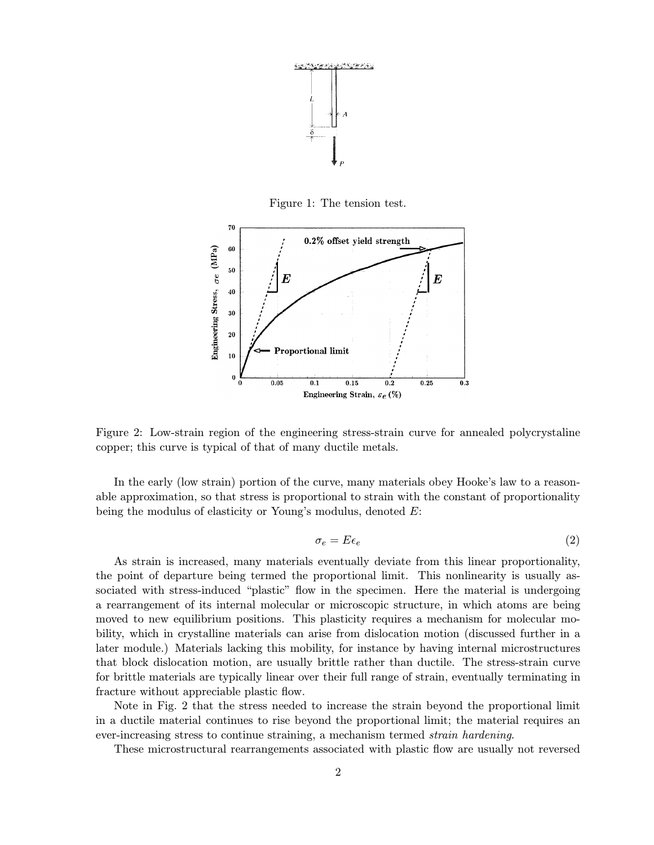

Figure 1: The tension test.



Figure 2: Low-strain region of the engineering stress-strain curve for annealed polycrystaline copper; this curve is typical of that of many ductile metals.

In the early (low strain) portion of the curve, many materials obey Hooke's law to a reasonable approximation, so that stress is proportional to strain with the constant of proportionality being the modulus of elasticity or Young's modulus, denoted E:

$$
\sigma_e = E \epsilon_e \tag{2}
$$

As strain is increased, many materials eventually deviate from this linear proportionality, the point of departure being termed the proportional limit. This nonlinearity is usually associated with stress-induced "plastic" flow in the specimen. Here the material is undergoing a rearrangement of its internal molecular or microscopic structure, in which atoms are being moved to new equilibrium positions. This plasticity requires a mechanism for molecular mobility, which in crystalline materials can arise from dislocation motion (discussed further in a later module.) Materials lacking this mobility, for instance by having internal microstructures that block dislocation motion, are usually brittle rather than ductile. The stress-strain curve for brittle materials are typically linear over their full range of strain, eventually terminating in fracture without appreciable plastic flow.

Note in Fig. 2 that the stress needed to increase the strain beyond the proportional limit in a ductile material continues to rise beyond the proportional limit; the material requires an ever-increasing stress to continue straining, a mechanism termed strain hardening.

These microstructural rearrangements associated with plastic flow are usually not reversed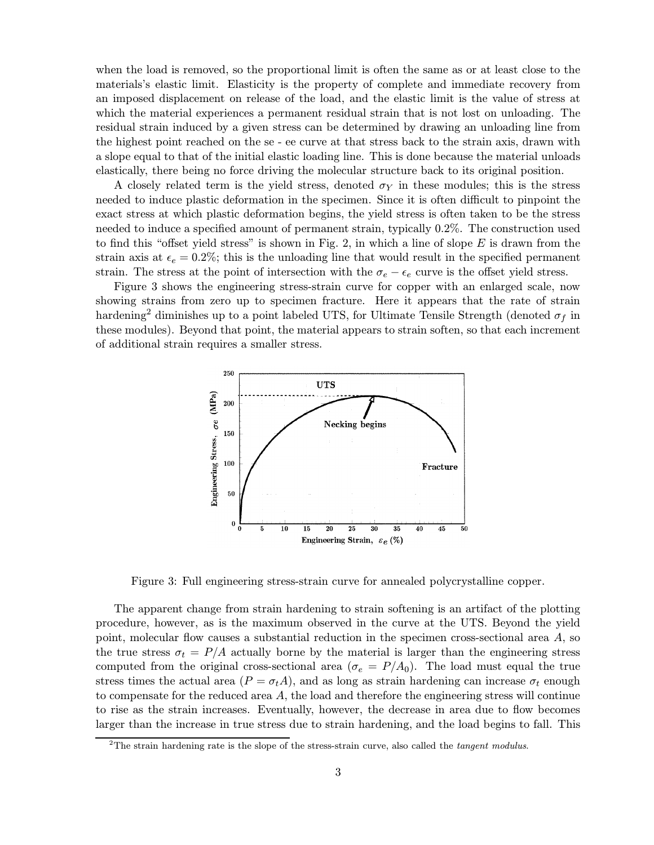when the load is removed, so the proportional limit is often the same as or at least close to the materials's elastic limit. Elasticity is the property of complete and immediate recovery from an imposed displacement on release of the load, and the elastic limit is the value of stress at which the material experiences a permanent residual strain that is not lost on unloading. The residual strain induced by a given stress can be determined by drawing an unloading line from the highest point reached on the se - ee curve at that stress back to the strain axis, drawn with a slope equal to that of the initial elastic loading line. This is done because the material unloads elastically, there being no force driving the molecular structure back to its original position.

A closely related term is the yield stress, denoted  $\sigma_Y$  in these modules; this is the stress needed to induce plastic deformation in the specimen. Since it is often difficult to pinpoint the exact stress at which plastic deformation begins, the yield stress is often taken to be the stress needed to induce a specified amount of permanent strain, typically 0.2%. The construction used to find this "offset yield stress" is shown in Fig. 2, in which a line of slope  $E$  is drawn from the strain axis at  $\epsilon_e = 0.2\%$ ; this is the unloading line that would result in the specified permanent strain. The stress at the point of intersection with the  $\sigma_e - \epsilon_e$  curve is the offset yield stress.

Figure 3 shows the engineering stress-strain curve for copper with an enlarged scale, now showing strains from zero up to specimen fracture. Here it appears that the rate of strain hardening<sup>2</sup> diminishes up to a point labeled UTS, for Ultimate Tensile Strength (denoted  $\sigma_f$  in these modules). Beyond that point, the material appears to strain soften, so that each increment of additional strain requires a smaller stress.



Figure 3: Full engineering stress-strain curve for annealed polycrystalline copper.

The apparent change from strain hardening to strain softening is an artifact of the plotting procedure, however, as is the maximum observed in the curve at the UTS. Beyond the yield point, molecular flow causes a substantial reduction in the specimen cross-sectional area A, so the true stress  $\sigma_t = P/A$  actually borne by the material is larger than the engineering stress computed from the original cross-sectional area  $(\sigma_e = P/A_0)$ . The load must equal the true stress times the actual area  $(P = \sigma_t A)$ , and as long as strain hardening can increase  $\sigma_t$  enough to compensate for the reduced area  $A$ , the load and therefore the engineering stress will continue to rise as the strain increases. Eventually, however, the decrease in area due to flow becomes larger than the increase in true stress due to strain hardening, and the load begins to fall. This

<sup>&</sup>lt;sup>2</sup>The strain hardening rate is the slope of the stress-strain curve, also called the *tangent modulus*.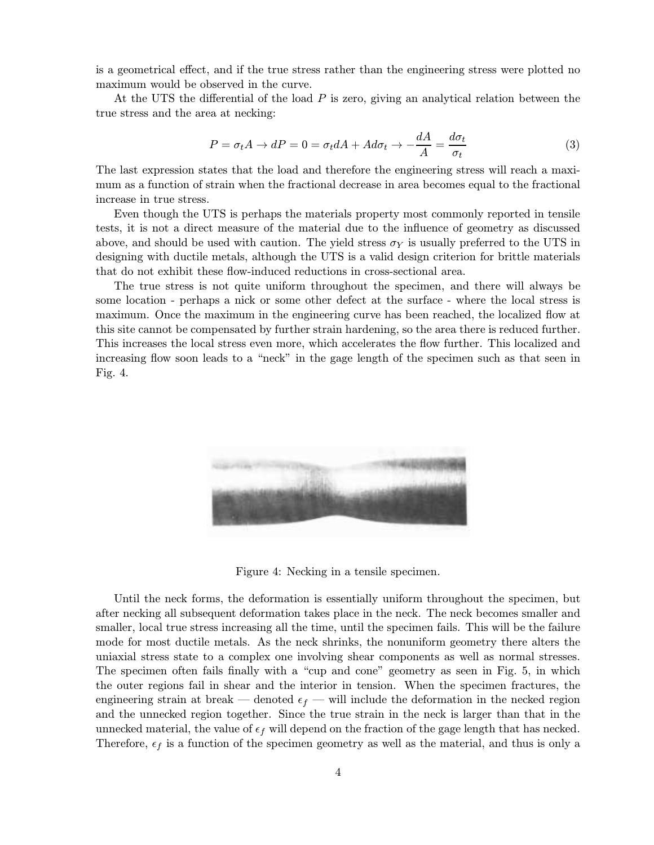is a geometrical effect, and if the true stress rather than the engineering stress were plotted no maximum would be observed in the curve.

At the UTS the differential of the load P is zero, giving an analytical relation between the true stress and the area at necking:

$$
P = \sigma_t A \to dP = 0 = \sigma_t dA + Ad\sigma_t \to -\frac{dA}{A} = \frac{d\sigma_t}{\sigma_t}
$$
\n(3)

The last expression states that the load and therefore the engineering stress will reach a maximum as a function of strain when the fractional decrease in area becomes equal to the fractional increase in true stress.

Even though the UTS is perhaps the materials property most commonly reported in tensile tests, it is not a direct measure of the material due to the influence of geometry as discussed above, and should be used with caution. The yield stress  $\sigma_Y$  is usually preferred to the UTS in designing with ductile metals, although the UTS is a valid design criterion for brittle materials that do not exhibit these flow-induced reductions in cross-sectional area.

The true stress is not quite uniform throughout the specimen, and there will always be some location - perhaps a nick or some other defect at the surface - where the local stress is maximum. Once the maximum in the engineering curve has been reached, the localized flow at this site cannot be compensated by further strain hardening, so the area there is reduced further. This increases the local stress even more, which accelerates the flow further. This localized and increasing flow soon leads to a "neck" in the gage length of the specimen such as that seen in Fig. 4.



Figure 4: Necking in a tensile specimen.

Until the neck forms, the deformation is essentially uniform throughout the specimen, but after necking all subsequent deformation takes place in the neck. The neck becomes smaller and smaller, local true stress increasing all the time, until the specimen fails. This will be the failure mode for most ductile metals. As the neck shrinks, the nonuniform geometry there alters the uniaxial stress state to a complex one involving shear components as well as normal stresses. The specimen often fails finally with a "cup and cone" geometry as seen in Fig. 5, in which the outer regions fail in shear and the interior in tension. When the specimen fractures, the engineering strain at break — denoted  $\epsilon_f$  — will include the deformation in the necked region and the unnecked region together. Since the true strain in the neck is larger than that in the unnecked material, the value of  $\epsilon_f$  will depend on the fraction of the gage length that has necked. Therefore,  $\epsilon_f$  is a function of the specimen geometry as well as the material, and thus is only a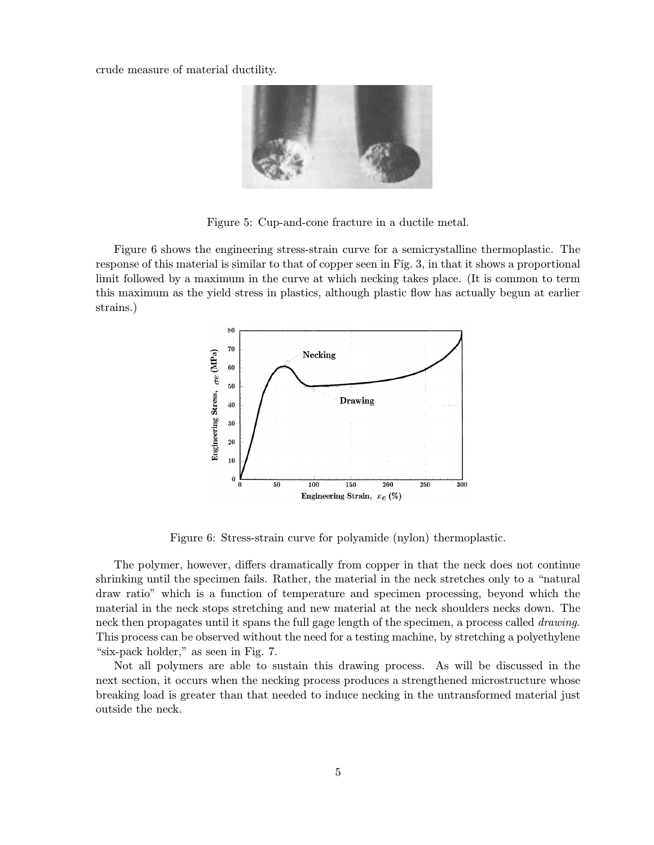crude measure of material ductility.



Figure 5: Cup-and-cone fracture in a ductile metal.

Figure 6 shows the engineering stress-strain curve for a semicrystalline thermoplastic. The response of this material is similar to that of copper seen in Fig. 3, in that it shows a proportional limit followed by a maximum in the curve at which necking takes place. (It is common to term this maximum as the yield stress in plastics, although plastic flow has actually begun at earlier strains.)



Figure 6: Stress-strain curve for polyamide (nylon) thermoplastic.

The polymer, however, differs dramatically from copper in that the neck does not continue shrinking until the specimen fails. Rather, the material in the neck stretches only to a "natural draw ratio" which is a function of temperature and specimen processing, beyond which the material in the neck stops stretching and new material at the neck shoulders necks down. The neck then propagates until it spans the full gage length of the specimen, a process called *drawing*. This process can be observed without the need for a testing machine, by stretching a polyethylene "six-pack holder," as seen in Fig. 7.

Not all polymers are able to sustain this drawing process. As will be discussed in the next section, it occurs when the necking process produces a strengthened microstructure whose breaking load is greater than that needed to induce necking in the untransformed material just outside the neck.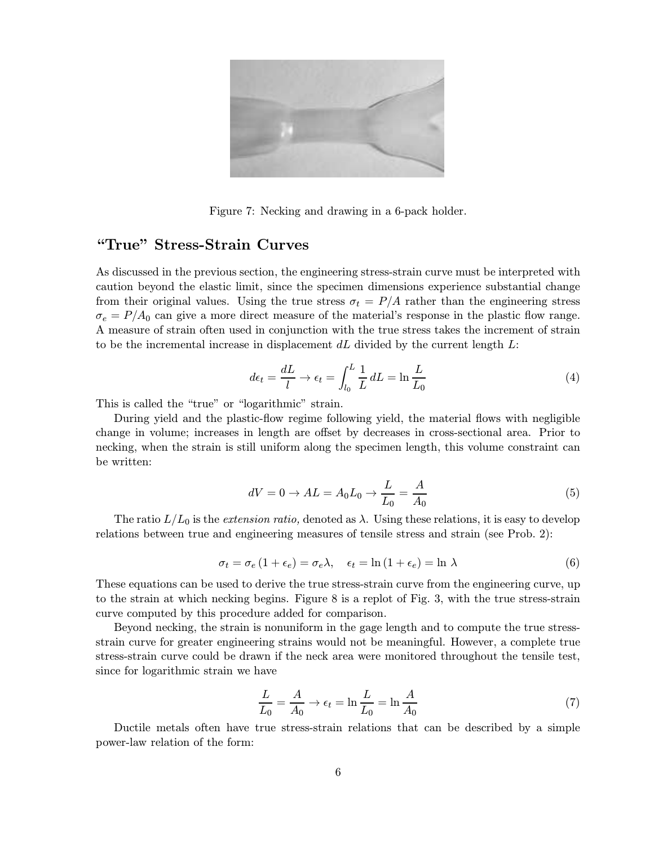

Figure 7: Necking and drawing in a 6-pack holder.

## "True" Stress-Strain Curves

As discussed in the previous section, the engineering stress-strain curve must be interpreted with caution beyond the elastic limit, since the specimen dimensions experience substantial change from their original values. Using the true stress  $\sigma_t = P/A$  rather than the engineering stress  $\sigma_e = P/A_0$  can give a more direct measure of the material's response in the plastic flow range. A measure of strain often used in conjunction with the true stress takes the increment of strain to be the incremental increase in displacement  $dL$  divided by the current length  $L$ :

$$
d\epsilon_t = \frac{dL}{l} \to \epsilon_t = \int_{l_0}^{L} \frac{1}{L} dL = \ln \frac{L}{L_0}
$$
 (4)

This is called the "true" or "logarithmic" strain.

During yield and the plastic-flow regime following yield, the material flows with negligible change in volume; increases in length are offset by decreases in cross-sectional area. Prior to necking, when the strain is still uniform along the specimen length, this volume constraint can be written:

$$
dV = 0 \to AL = A_0 L_0 \to \frac{L}{L_0} = \frac{A}{A_0} \tag{5}
$$

The ratio  $L/L_0$  is the *extension ratio*, denoted as  $\lambda$ . Using these relations, it is easy to develop relations between true and engineering measures of tensile stress and strain (see Prob. 2):

$$
\sigma_t = \sigma_e (1 + \epsilon_e) = \sigma_e \lambda, \quad \epsilon_t = \ln (1 + \epsilon_e) = \ln \lambda \tag{6}
$$

These equations can be used to derive the true stress-strain curve from the engineering curve, up to the strain at which necking begins. Figure 8 is a replot of Fig. 3, with the true stress-strain curve computed by this procedure added for comparison.

Beyond necking, the strain is nonuniform in the gage length and to compute the true stressstrain curve for greater engineering strains would not be meaningful. However, a complete true stress-strain curve could be drawn if the neck area were monitored throughout the tensile test, since for logarithmic strain we have

$$
\frac{L}{L_0} = \frac{A}{A_0} \to \epsilon_t = \ln \frac{L}{L_0} = \ln \frac{A}{A_0}
$$
\n<sup>(7)</sup>

Ductile metals often have true stress-strain relations that can be described by a simple power-law relation of the form: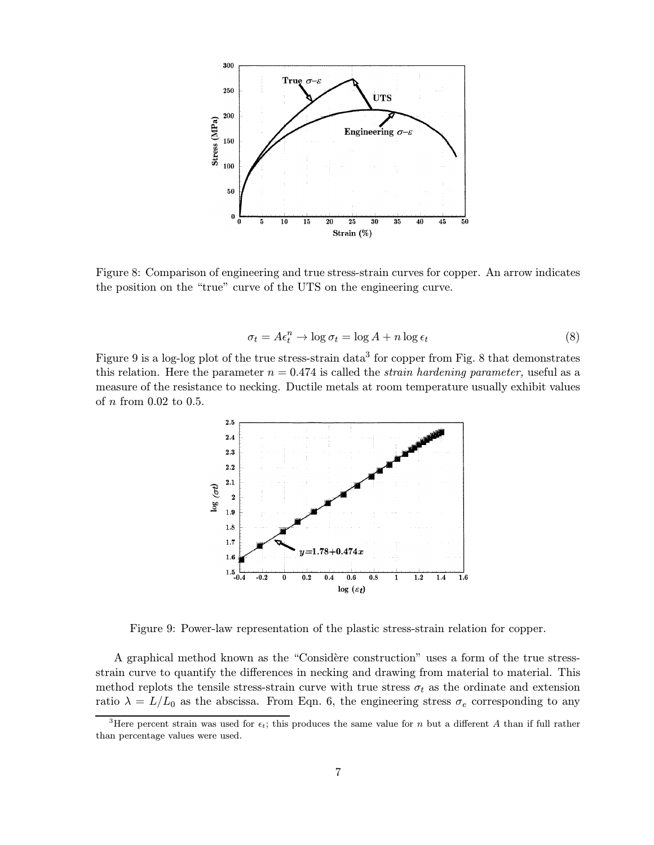

Figure 8: Comparison of engineering and true stress-strain curves for copper. An arrow indicates the position on the "true" curve of the UTS on the engineering curve.

$$
\sigma_t = A\epsilon_t^n \to \log \sigma_t = \log A + n \log \epsilon_t \tag{8}
$$

Figure 9 is a log-log plot of the true stress-strain data<sup>3</sup> for copper from Fig. 8 that demonstrates this relation. Here the parameter  $n = 0.474$  is called the *strain hardening parameter*, useful as a measure of the resistance to necking. Ductile metals at room temperature usually exhibit values of  $n$  from 0.02 to 0.5.



Figure 9: Power-law representation of the plastic stress-strain relation for copper.

A graphical method known as the "Considere construction" uses a form of the true stressstrain curve to quantify the differences in necking and drawing from material to material. This method replots the tensile stress-strain curve with true stress  $\sigma_t$  as the ordinate and extension ratio  $\lambda = L/L_0$  as the abscissa. From Eqn. 6, the engineering stress  $\sigma_e$  corresponding to any

<sup>&</sup>lt;sup>3</sup>Here percent strain was used for  $\epsilon_t$ ; this produces the same value for n but a different A than if full rather than percentage values were used.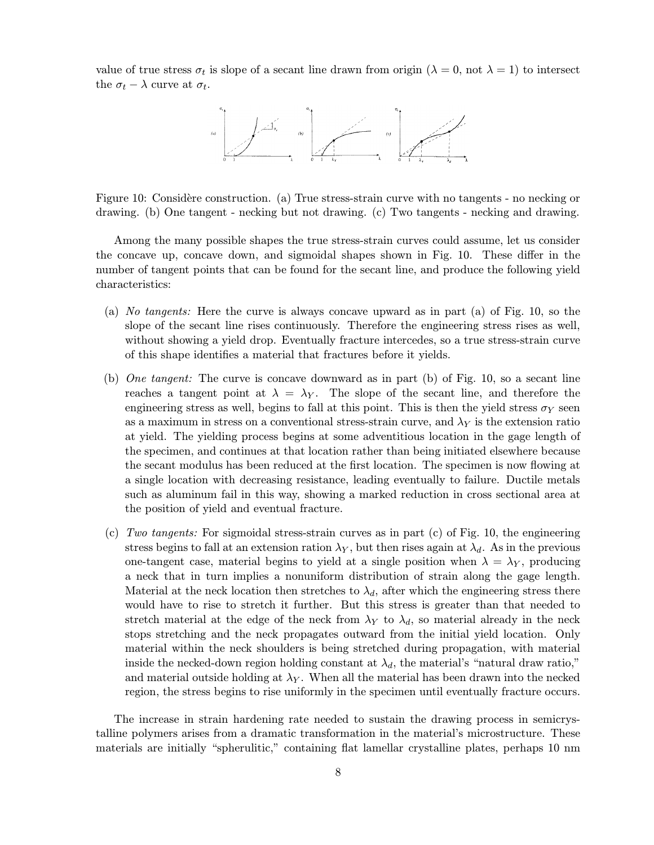value of true stress  $\sigma_t$  is slope of a secant line drawn from origin  $(\lambda = 0, \text{ not } \lambda = 1)$  to intersect the  $\sigma_t - \lambda$  curve at  $\sigma_t$ .



Figure 10: Considère construction. (a) True stress-strain curve with no tangents - no necking or drawing. (b) One tangent - necking but not drawing. (c) Two tangents - necking and drawing.

Among the many possible shapes the true stress-strain curves could assume, let us consider the concave up, concave down, and sigmoidal shapes shown in Fig. 10. These differ in the number of tangent points that can be found for the secant line, and produce the following yield characteristics:

- (a) No tangents: Here the curve is always concave upward as in part (a) of Fig. 10, so the slope of the secant line rises continuously. Therefore the engineering stress rises as well, without showing a yield drop. Eventually fracture intercedes, so a true stress-strain curve of this shape identifies a material that fractures before it yields.
- (b) One tangent: The curve is concave downward as in part (b) of Fig. 10, so a secant line reaches a tangent point at  $\lambda = \lambda_Y$ . The slope of the secant line, and therefore the engineering stress as well, begins to fall at this point. This is then the yield stress  $\sigma_Y$  seen as a maximum in stress on a conventional stress-strain curve, and  $\lambda_Y$  is the extension ratio at yield. The yielding process begins at some adventitious location in the gage length of the specimen, and continues at that location rather than being initiated elsewhere because the secant modulus has been reduced at the first location. The specimen is now flowing at a single location with decreasing resistance, leading eventually to failure. Ductile metals such as aluminum fail in this way, showing a marked reduction in cross sectional area at the position of yield and eventual fracture.
- (c) Two tangents: For sigmoidal stress-strain curves as in part (c) of Fig. 10, the engineering stress begins to fall at an extension ration  $\lambda_Y$ , but then rises again at  $\lambda_d$ . As in the previous one-tangent case, material begins to yield at a single position when  $\lambda = \lambda_Y$ , producing a neck that in turn implies a nonuniform distribution of strain along the gage length. Material at the neck location then stretches to  $\lambda_d$ , after which the engineering stress there would have to rise to stretch it further. But this stress is greater than that needed to stretch material at the edge of the neck from  $\lambda_Y$  to  $\lambda_d$ , so material already in the neck stops stretching and the neck propagates outward from the initial yield location. Only material within the neck shoulders is being stretched during propagation, with material inside the necked-down region holding constant at  $\lambda_d$ , the material's "natural draw ratio," and material outside holding at  $\lambda_Y$ . When all the material has been drawn into the necked region, the stress begins to rise uniformly in the specimen until eventually fracture occurs.

The increase in strain hardening rate needed to sustain the drawing process in semicrystalline polymers arises from a dramatic transformation in the material's microstructure. These materials are initially "spherulitic," containing flat lamellar crystalline plates, perhaps 10 nm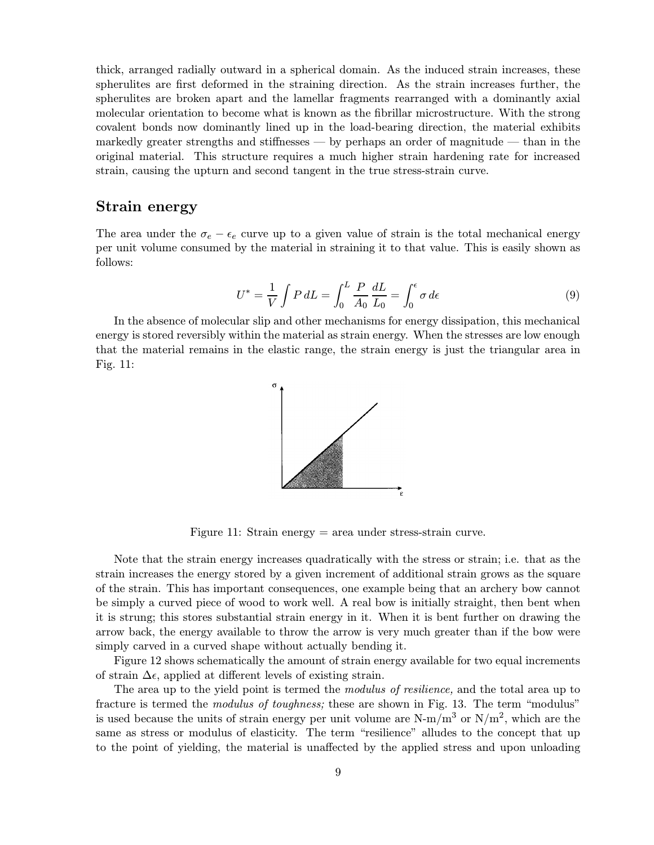thick, arranged radially outward in a spherical domain. As the induced strain increases, these spherulites are first deformed in the straining direction. As the strain increases further, the spherulites are broken apart and the lamellar fragments rearranged with a dominantly axial molecular orientation to become what is known as the fibrillar microstructure. With the strong covalent bonds now dominantly lined up in the load-bearing direction, the material exhibits markedly greater strengths and stiffnesses — by perhaps an order of magnitude — than in the original material. This structure requires a much higher strain hardening rate for increased strain, causing the upturn and second tangent in the true stress-strain curve.

#### Strain energy

The area under the  $\sigma_e - \epsilon_e$  curve up to a given value of strain is the total mechanical energy per unit volume consumed by the material in straining it to that value. This is easily shown as follows:

$$
U^* = \frac{1}{V} \int P dL = \int_0^L \frac{P}{A_0} \frac{dL}{L_0} = \int_0^\epsilon \sigma d\epsilon \tag{9}
$$

In the absence of molecular slip and other mechanisms for energy dissipation, this mechanical energy is stored reversibly within the material as strain energy. When the stresses are low enough that the material remains in the elastic range, the strain energy is just the triangular area in Fig. 11:



Figure 11: Strain energy = area under stress-strain curve.

Note that the strain energy increases quadratically with the stress or strain; i.e. that as the strain increases the energy stored by a given increment of additional strain grows as the square of the strain. This has important consequences, one example being that an archery bow cannot be simply a curved piece of wood to work well. A real bow is initially straight, then bent when it is strung; this stores substantial strain energy in it. When it is bent further on drawing the arrow back, the energy available to throw the arrow is very much greater than if the bow were simply carved in a curved shape without actually bending it.

Figure 12 shows schematically the amount of strain energy available for two equal increments of strain  $\Delta \epsilon$ , applied at different levels of existing strain.

The area up to the yield point is termed the *modulus of resilience*, and the total area up to fracture is termed the *modulus of toughness*; these are shown in Fig. 13. The term "modulus" is used because the units of strain energy per unit volume are  $N-m/m^3$  or  $N/m^2$ , which are the same as stress or modulus of elasticity. The term "resilience" alludes to the concept that up to the point of yielding, the material is unaffected by the applied stress and upon unloading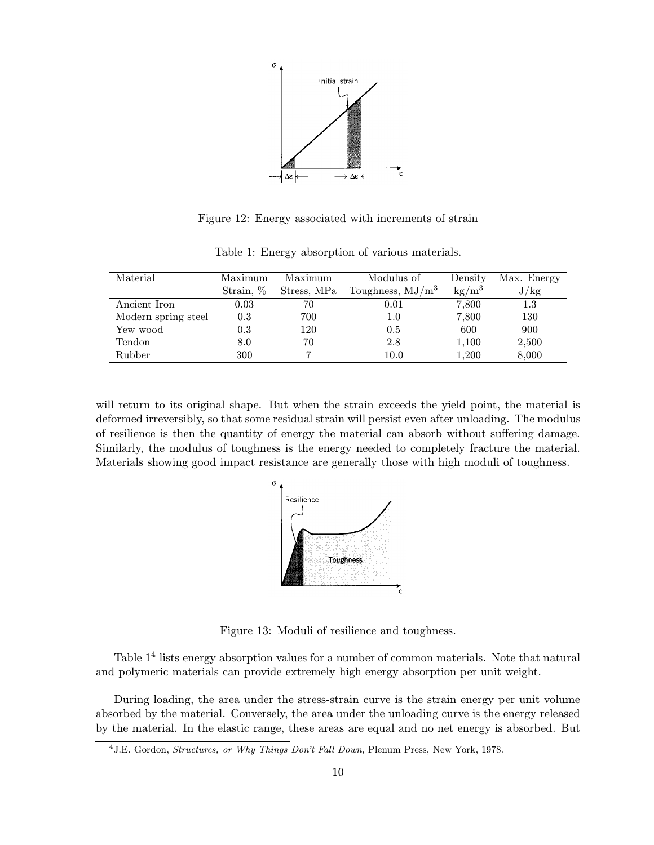

Figure 12: Energy associated with increments of strain

| Material            | Maximum     | Maximum     | Modulus of         | Density                | Max. Energy |
|---------------------|-------------|-------------|--------------------|------------------------|-------------|
|                     | Strain, $%$ | Stress, MPa | Toughness, $MJ/m3$ | $\text{kg}/\text{m}^3$ | J/kg        |
| Ancient Iron        | 0.03        | 70          | 0.01               | 7,800                  | $1.3\,$     |
| Modern spring steel | 0.3         | 700         | $1.0\,$            | 7,800                  | 130         |
| Yew wood            | $0.3\,$     | 120         | $0.5\,$            | 600                    | 900         |
| Tendon              | $8.0\,$     | 70          | 2.8                | 1,100                  | 2,500       |
| Rubber              | 300         |             | $10.0\,$           | 1,200                  | 8,000       |

Table 1: Energy absorption of various materials.

will return to its original shape. But when the strain exceeds the yield point, the material is deformed irreversibly, so that some residual strain will persist even after unloading. The modulus of resilience is then the quantity of energy the material can absorb without suffering damage. Similarly, the modulus of toughness is the energy needed to completely fracture the material. Materials showing good impact resistance are generally those with high moduli of toughness.



Figure 13: Moduli of resilience and toughness.

Table 1<sup>4</sup> lists energy absorption values for a number of common materials. Note that natural and polymeric materials can provide extremely high energy absorption per unit weight.

During loading, the area under the stress-strain curve is the strain energy per unit volume absorbed by the material. Conversely, the area under the unloading curve is the energy released by the material. In the elastic range, these areas are equal and no net energy is absorbed. But

<sup>&</sup>lt;sup>4</sup> J.E. Gordon, *Structures, or Why Things Don't Fall Down*, Plenum Press, New York, 1978.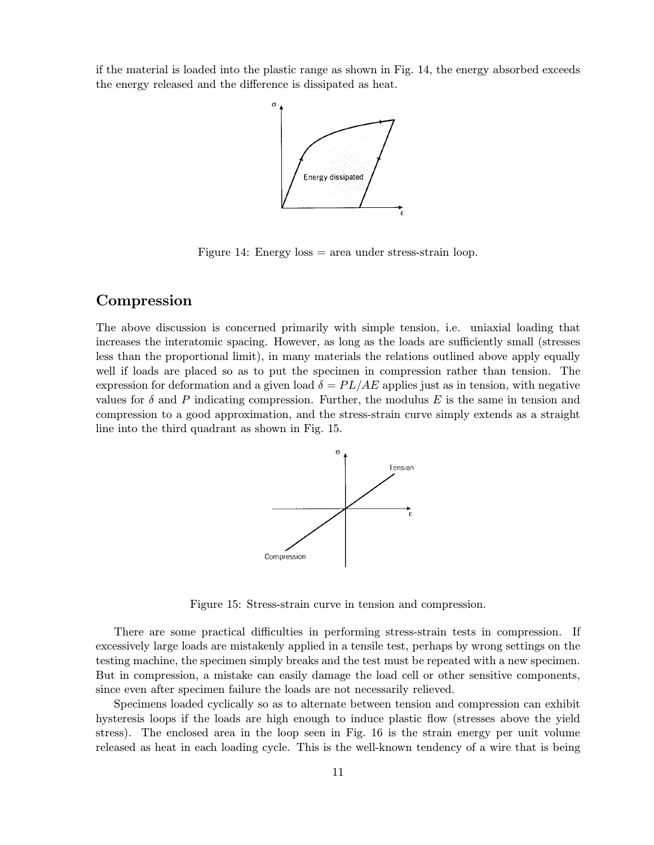if the material is loaded into the plastic range as shown in Fig. 14, the energy absorbed exceeds the energy released and the difference is dissipated as heat.



Figure 14: Energy  $loss = area$  under stress-strain loop.

### Compression

The above discussion is concerned primarily with simple tension, i.e. uniaxial loading that increases the interatomic spacing. However, as long as the loads are sufficiently small (stresses less than the proportional limit), in many materials the relations outlined above apply equally well if loads are placed so as to put the specimen in compression rather than tension. The expression for deformation and a given load  $\delta = PL/AE$  applies just as in tension, with negative values for  $\delta$  and P indicating compression. Further, the modulus E is the same in tension and compression to a good approximation, and the stress-strain curve simply extends as a straight line into the third quadrant as shown in Fig. 15.



Figure 15: Stress-strain curve in tension and compression.

There are some practical difficulties in performing stress-strain tests in compression. If excessively large loads are mistakenly applied in a tensile test, perhaps by wrong settings on the testing machine, the specimen simply breaks and the test must be repeated with a new specimen. But in compression, a mistake can easily damage the load cell or other sensitive components, since even after specimen failure the loads are not necessarily relieved.

Specimens loaded cyclically so as to alternate between tension and compression can exhibit hysteresis loops if the loads are high enough to induce plastic flow (stresses above the yield stress). The enclosed area in the loop seen in Fig. 16 is the strain energy per unit volume released as heat in each loading cycle. This is the well-known tendency of a wire that is being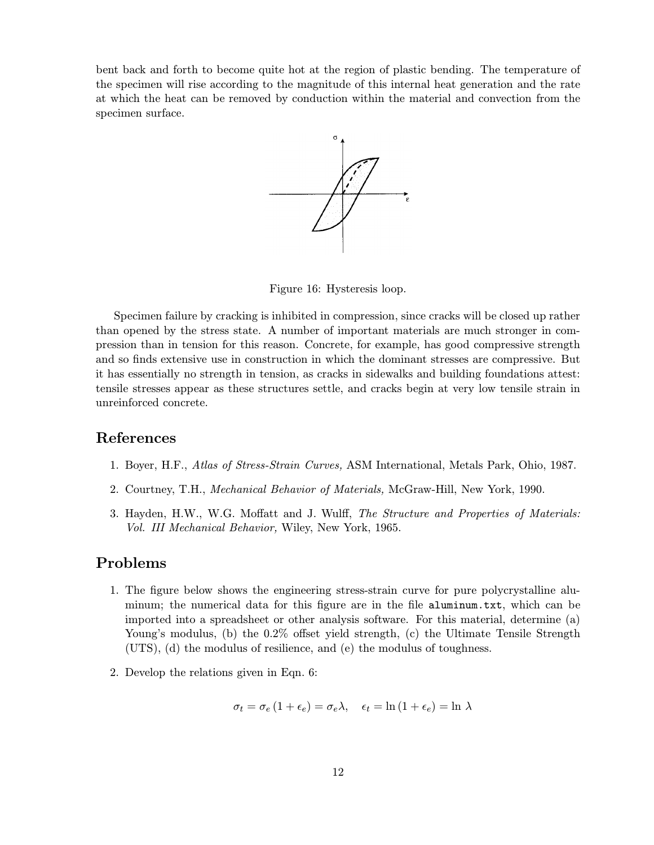bent back and forth to become quite hot at the region of plastic bending. The temperature of the specimen will rise according to the magnitude of this internal heat generation and the rate at which the heat can be removed by conduction within the material and convection from the specimen surface.



Figure 16: Hysteresis loop.

Specimen failure by cracking is inhibited in compression, since cracks will be closed up rather than opened by the stress state. A number of important materials are much stronger in compression than in tension for this reason. Concrete, for example, has good compressive strength and so finds extensive use in construction in which the dominant stresses are compressive. But it has essentially no strength in tension, as cracks in sidewalks and building foundations attest: tensile stresses appear as these structures settle, and cracks begin at very low tensile strain in unreinforced concrete.

#### References

- 1. Boyer, H.F., Atlas of Stress-Strain Curves, ASM International, Metals Park, Ohio, 1987.
- 2. Courtney, T.H., Mechanical Behavior of Materials, McGraw-Hill, New York, 1990.
- 3. Hayden, H.W., W.G. Moffatt and J. Wulff, The Structure and Properties of Materials: Vol. III Mechanical Behavior, Wiley, New York, 1965.

## Problems

- 1. The figure below shows the engineering stress-strain curve for pure polycrystalline aluminum; the numerical data for this figure are in the file aluminum.txt, which can be imported into a spreadsheet or other analysis software. For this material, determine (a) Young's modulus, (b) the 0.2% offset yield strength, (c) the Ultimate Tensile Strength (UTS), (d) the modulus of resilience, and (e) the modulus of toughness.
- 2. Develop the relations given in Eqn. 6:

$$
\sigma_t = \sigma_e (1 + \epsilon_e) = \sigma_e \lambda, \quad \epsilon_t = \ln (1 + \epsilon_e) = \ln \lambda
$$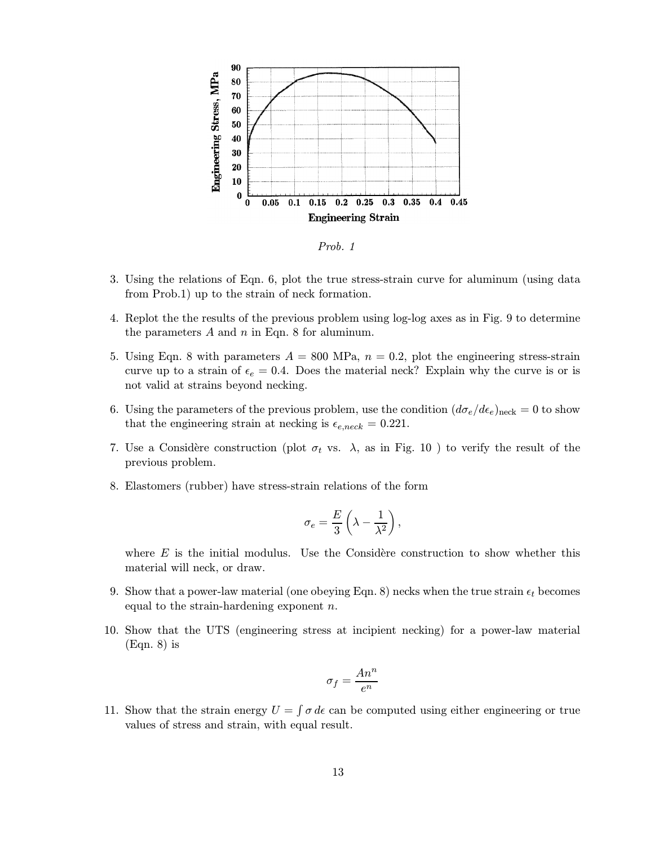

Prob. 1

- 3. Using the relations of Eqn. 6, plot the true stress-strain curve for aluminum (using data from Prob.1) up to the strain of neck formation.
- 4. Replot the the results of the previous problem using log-log axes as in Fig. 9 to determine the parameters  $A$  and  $n$  in Eqn. 8 for aluminum.
- 5. Using Eqn. 8 with parameters  $A = 800$  MPa,  $n = 0.2$ , plot the engineering stress-strain curve up to a strain of  $\epsilon_e = 0.4$ . Does the material neck? Explain why the curve is or is not valid at strains beyond necking.
- 6. Using the parameters of the previous problem, use the condition  $(d\sigma_e/d\epsilon_e)_{\text{neck}} = 0$  to show that the engineering strain at necking is  $\epsilon_{e,neck} = 0.221$ .
- 7. Use a Considère construction (plot  $\sigma_t$  vs.  $\lambda$ , as in Fig. 10 ) to verify the result of the previous problem.
- 8. Elastomers (rubber) have stress-strain relations of the form

$$
\sigma_e = \frac{E}{3}\left(\lambda - \frac{1}{\lambda^2}\right),
$$

where  $E$  is the initial modulus. Use the Considère construction to show whether this material will neck, or draw.

- 9. Show that a power-law material (one obeying Eqn. 8) necks when the true strain  $\epsilon_t$  becomes equal to the strain-hardening exponent n.
- 10. Show that the UTS (engineering stress at incipient necking) for a power-law material  $(Eqn. 8)$  is

$$
\sigma_f = \frac{An^n}{e^n}
$$

11. Show that the strain energy  $U = \int \sigma d\epsilon$  can be computed using either engineering or true values of stress and strain, with equal result.